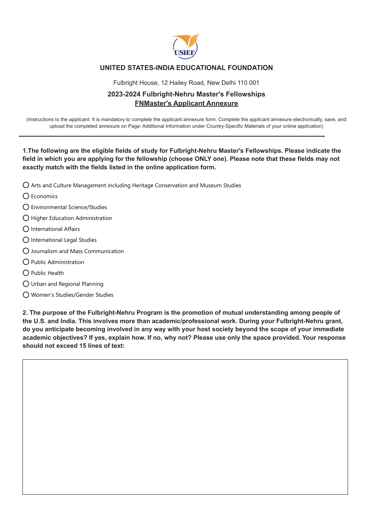

## **UNITED STATES-INDIA EDUCATIONAL FOUNDATION**

Fulbright House, 12 Hailey Road, New Delhi 110 001

## **2023-2024 Fulbright-Nehru Master's Fellowships FNMaster's Applicant Annexure**

(Instructions to the applicant: It is mandatory to complete the applicant annexure form. Complete the applicant annexure electronically, save, and upload the completed annexure on Page: Additional Information under Country-Specific Materials of your online application)

**1.The following are the eligible fields of study for Fulbright-Nehru Master's Fellowships. Please indicate the field in which you are applying for the fellowship (choose ONLY one). Please note that these fields may not exactly match with the fields listed in the online application form.**

- $\bigcirc$  Arts and Culture Management including Heritage Conservation and Museum Studies
- $\bigcap$  Economics
- Environmental Science/Studies
- $\bigcap$  Higher Education Administration
- $\bigcap$  International Affairs
- International Legal Studies
- Journalism and Mass Communication
- $\bigcap$  Public Administration
- $\bigcap$  Public Health
- Urban and Regional Planning
- Women's Studies/Gender Studies

**2. The purpose of the Fulbright-Nehru Program is the promotion of mutual understanding among people of the U.S. and India. This involves more than academic/professional work. During your Fulbright-Nehru grant, do you anticipate becoming involved in any way with your host society beyond the scope of your immediate academic objectives? If yes, explain how. If no, why not? Please use only the space provided. Your response should not exceed 15 lines of text:**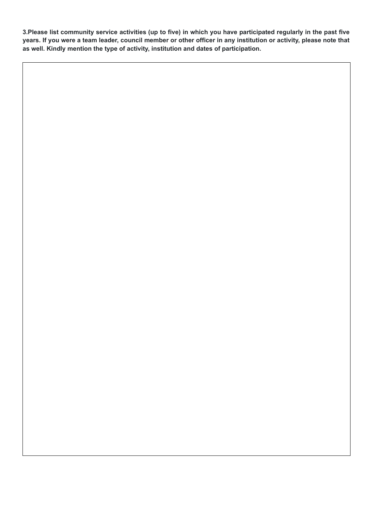**3.Please list community service activities (up to five) in which you have participated regularly in the past five years. If you were a team leader, council member or other officer in any institution or activity, please note that as well. Kindly mention the type of activity, institution and dates of participation.**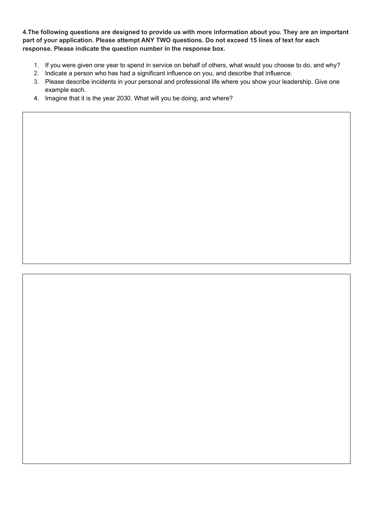**4.The following questions are designed to provide us with more information about you. They are an important part of your application. Please attempt ANY TWO questions. Do not exceed 15 lines of text for each response. Please indicate the question number in the response box.**

- 1. If you were given one year to spend in service on behalf of others, what would you choose to do, and why?
- 2. Indicate a person who has had a significant influence on you, and describe that influence.
- 3. Please describe incidents in your personal and professional life where you show your leadership. Give one example each.
- 4. Imagine that it is the year 2030. What will you be doing, and where?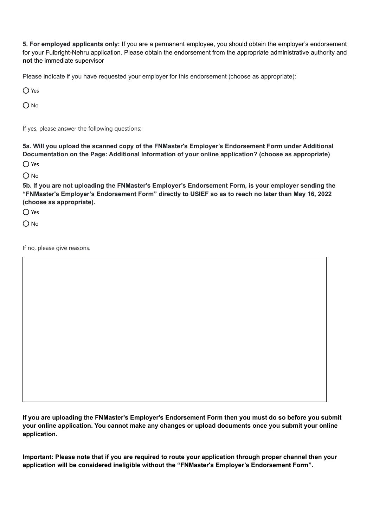**5. For employed applicants only:** If you are a permanent employee, you should obtain the employer's endorsement for your Fulbright-Nehru application. Please obtain the endorsement from the appropriate administrative authority and **not** the immediate supervisor

Please indicate if you have requested your employer for this endorsement (choose as appropriate):

 $\bigcirc$  Yes

 $O$  No

If yes, please answer the following questions:

**5a. Will you upload the scanned copy of the FNMaster's Employer's Endorsement Form under Additional Documentation on the Page: Additional Information of your online application? (choose as appropriate)**

O Yes

 $O$  No

**5b. If you are not uploading the FNMaster's Employer's Endorsement Form, is your employer sending the "FNMaster's Employer's Endorsement Form" directly to USIEF so as to reach no later than May 16, 2022 (choose as appropriate).**

O Yes

 $O$  No

If no, please give reasons.

**If you are uploading the FNMaster's Employer's Endorsement Form then you must do so before you submit your online application. You cannot make any changes or upload documents once you submit your online application.**

**Important: Please note that if you are required to route your application through proper channel then your application will be considered ineligible without the "FNMaster's Employer's Endorsement Form".**